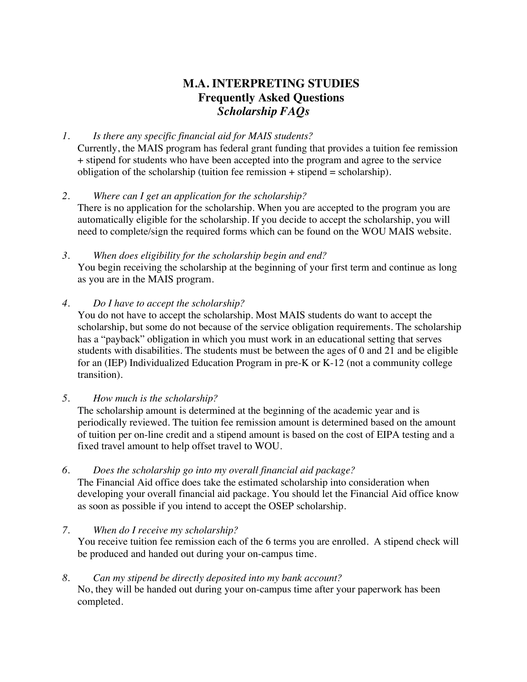# **M.A. INTERPRETING STUDIES Frequently Asked Questions** *Scholarship FAQs*

# *1. Is there any specific financial aid for MAIS students?*

Currently, the MAIS program has federal grant funding that provides a tuition fee remission + stipend for students who have been accepted into the program and agree to the service obligation of the scholarship (tuition fee remission  $+$  stipend  $=$  scholarship).

*2. Where can I get an application for the scholarship?*

There is no application for the scholarship. When you are accepted to the program you are automatically eligible for the scholarship. If you decide to accept the scholarship, you will need to complete/sign the required forms which can be found on the WOU MAIS website.

*3. When does eligibility for the scholarship begin and end?* You begin receiving the scholarship at the beginning of your first term and continue as long as you are in the MAIS program.

# *4. Do I have to accept the scholarship?*

You do not have to accept the scholarship. Most MAIS students do want to accept the scholarship, but some do not because of the service obligation requirements. The scholarship has a "payback" obligation in which you must work in an educational setting that serves students with disabilities. The students must be between the ages of 0 and 21 and be eligible for an (IEP) Individualized Education Program in pre-K or K-12 (not a community college transition).

*5. How much is the scholarship?*

The scholarship amount is determined at the beginning of the academic year and is periodically reviewed. The tuition fee remission amount is determined based on the amount of tuition per on-line credit and a stipend amount is based on the cost of EIPA testing and a fixed travel amount to help offset travel to WOU.

### *6. Does the scholarship go into my overall financial aid package?*

The Financial Aid office does take the estimated scholarship into consideration when developing your overall financial aid package. You should let the Financial Aid office know as soon as possible if you intend to accept the OSEP scholarship.

### *7. When do I receive my scholarship?*

You receive tuition fee remission each of the 6 terms you are enrolled. A stipend check will be produced and handed out during your on-campus time.

### *8. Can my stipend be directly deposited into my bank account?*

No, they will be handed out during your on-campus time after your paperwork has been completed.